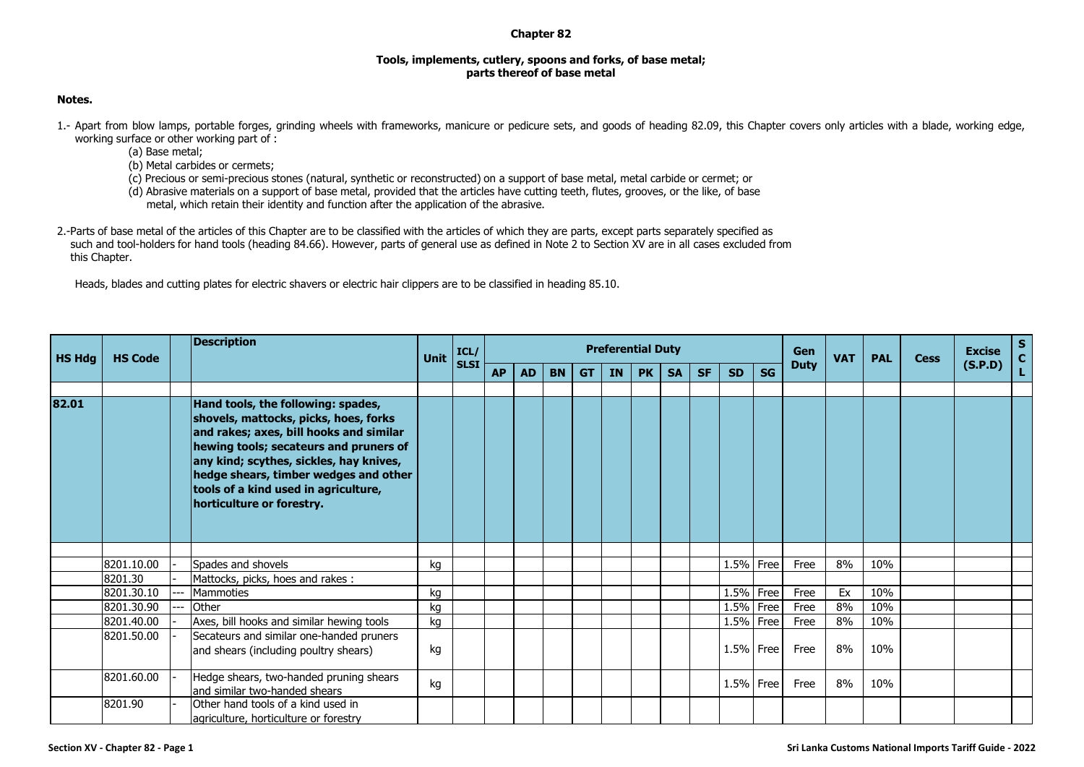## **Chapter 82**

## **Tools, implements, cutlery, spoons and forks, of base metal; parts thereof of base metal**

## **Notes.**

- 1.- Apart from blow lamps, portable forges, grinding wheels with frameworks, manicure or pedicure sets, and goods of heading 82.09, this Chapter covers only articles with a blade, working edge, working surface or other working part of :
	- (a) Base metal;
	- (b) Metal carbides or cermets;
	- (c) Precious or semi-precious stones (natural, synthetic or reconstructed) on a support of base metal, metal carbide or cermet; or
	- (d) Abrasive materials on a support of base metal, provided that the articles have cutting teeth, flutes, grooves, or the like, of base
		- metal, which retain their identity and function after the application of the abrasive.
- 2.-Parts of base metal of the articles of this Chapter are to be classified with the articles of which they are parts, except parts separately specified as such and tool-holders for hand tools (heading 84.66). However, parts of general use as defined in Note 2 to Section XV are in all cases excluded from this Chapter.

Heads, blades and cutting plates for electric shavers or electric hair clippers are to be classified in heading 85.10.

| <b>HS Hdg</b> | <b>HS Code</b> | <b>Unit</b>                                                                                                                                                                                                                                                                                                               | ICL/<br><b>SLSI</b> |  |           |           |           |           | <b>Preferential Duty</b> |           |           | <b>Gen</b><br><b>VAT</b> | <b>PAL</b>   | <b>Cess</b> | <b>Excise</b> | $\frac{S}{C}$ |     |  |         |    |
|---------------|----------------|---------------------------------------------------------------------------------------------------------------------------------------------------------------------------------------------------------------------------------------------------------------------------------------------------------------------------|---------------------|--|-----------|-----------|-----------|-----------|--------------------------|-----------|-----------|--------------------------|--------------|-------------|---------------|---------------|-----|--|---------|----|
|               |                |                                                                                                                                                                                                                                                                                                                           |                     |  | <b>AP</b> | <b>AD</b> | <b>BN</b> | <b>GT</b> | <b>IN</b>                | <b>PK</b> | <b>SA</b> | <b>SF</b>                | <b>SD</b>    | <b>SG</b>   | <b>Duty</b>   |               |     |  | (S.P.D) | L. |
|               |                |                                                                                                                                                                                                                                                                                                                           |                     |  |           |           |           |           |                          |           |           |                          |              |             |               |               |     |  |         |    |
| 82.01         |                | Hand tools, the following: spades,<br>shovels, mattocks, picks, hoes, forks<br>and rakes; axes, bill hooks and similar<br>hewing tools; secateurs and pruners of<br>any kind; scythes, sickles, hay knives,<br>hedge shears, timber wedges and other<br>tools of a kind used in agriculture,<br>horticulture or forestry. |                     |  |           |           |           |           |                          |           |           |                          |              |             |               |               |     |  |         |    |
|               |                |                                                                                                                                                                                                                                                                                                                           |                     |  |           |           |           |           |                          |           |           |                          |              |             |               |               |     |  |         |    |
|               | 8201.10.00     | Spades and shovels                                                                                                                                                                                                                                                                                                        | kg                  |  |           |           |           |           |                          |           |           |                          | $1.5\%$ Free |             | Free          | 8%            | 10% |  |         |    |
|               | 8201.30        | Mattocks, picks, hoes and rakes:                                                                                                                                                                                                                                                                                          |                     |  |           |           |           |           |                          |           |           |                          |              |             |               |               |     |  |         |    |
|               | 8201.30.10     | <b>Mammoties</b>                                                                                                                                                                                                                                                                                                          | kg                  |  |           |           |           |           |                          |           |           |                          | $1.5\%$ Free |             | Free          | Ex            | 10% |  |         |    |
|               | 8201.30.90     | Other                                                                                                                                                                                                                                                                                                                     | kg                  |  |           |           |           |           |                          |           |           |                          | 1.5% Free    |             | Free          | 8%            | 10% |  |         |    |
|               | 8201.40.00     | Axes, bill hooks and similar hewing tools                                                                                                                                                                                                                                                                                 | kg                  |  |           |           |           |           |                          |           |           |                          | 1.5% Free    |             | Free          | 8%            | 10% |  |         |    |
|               | 8201.50.00     | Secateurs and similar one-handed pruners<br>and shears (including poultry shears)                                                                                                                                                                                                                                         | kg                  |  |           |           |           |           |                          |           |           |                          | 1.5% Free    |             | Free          | 8%            | 10% |  |         |    |
|               | 8201.60.00     | Hedge shears, two-handed pruning shears<br>land similar two-handed shears                                                                                                                                                                                                                                                 | kg                  |  |           |           |           |           |                          |           |           |                          | $1.5\%$ Free |             | Free          | 8%            | 10% |  |         |    |
|               | 8201.90        | Other hand tools of a kind used in<br>agriculture, horticulture or forestry                                                                                                                                                                                                                                               |                     |  |           |           |           |           |                          |           |           |                          |              |             |               |               |     |  |         |    |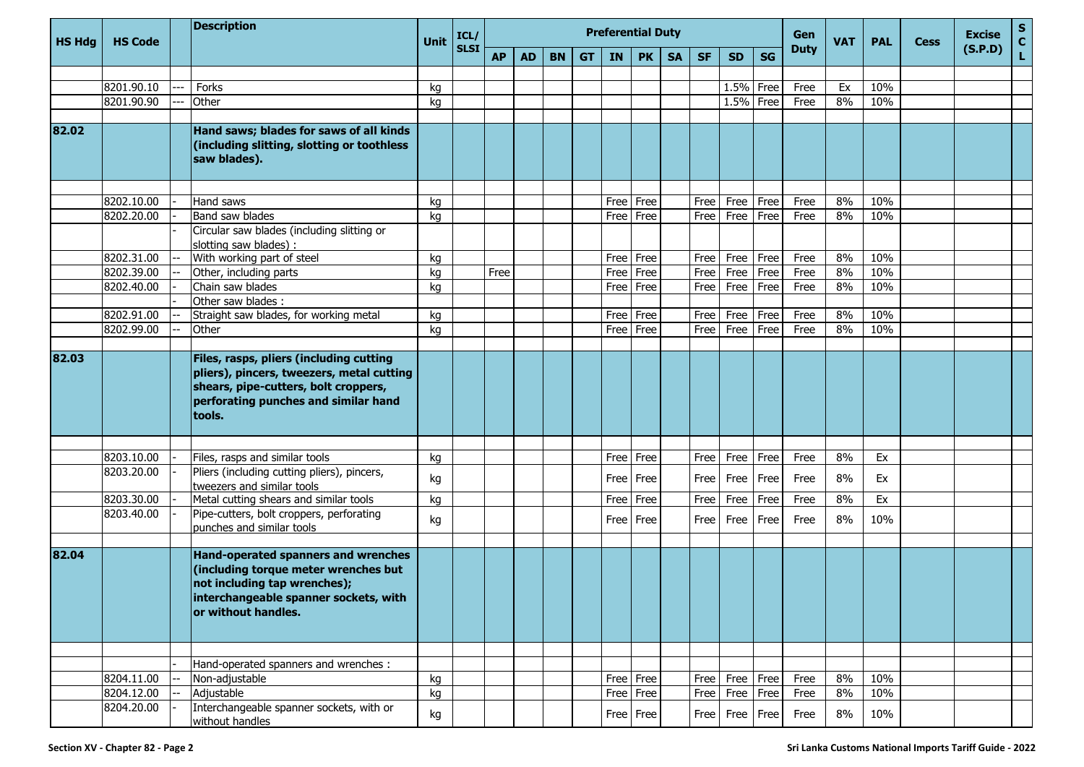|               |                |  | <b>Description</b>                                                                                                                                                             | <b>Unit</b> | ICL/        |           |           |           |           | <b>Preferential Duty</b> |             |           | Gen       |                | <b>PAL</b> |      | <b>Excise</b><br>(S.P.D) | S           |            |             |                    |
|---------------|----------------|--|--------------------------------------------------------------------------------------------------------------------------------------------------------------------------------|-------------|-------------|-----------|-----------|-----------|-----------|--------------------------|-------------|-----------|-----------|----------------|------------|------|--------------------------|-------------|------------|-------------|--------------------|
| <b>HS Hdg</b> | <b>HS Code</b> |  |                                                                                                                                                                                |             | <b>SLSI</b> | <b>AP</b> | <b>AD</b> | <b>BN</b> | <b>GT</b> | <b>IN</b>                | <b>PK</b>   | <b>SA</b> | <b>SF</b> | <b>SD</b>      |            | SG   |                          | <b>Duty</b> | <b>VAT</b> | <b>Cess</b> | $\mathbf{C}$<br>L. |
|               |                |  |                                                                                                                                                                                |             |             |           |           |           |           |                          |             |           |           |                |            |      |                          |             |            |             |                    |
|               | 8201.90.10     |  | Forks                                                                                                                                                                          | kg          |             |           |           |           |           |                          |             |           |           | 1.5%           | Free       | Free | Ex                       | 10%         |            |             |                    |
|               | 8201.90.90     |  | Other                                                                                                                                                                          | kg          |             |           |           |           |           |                          |             |           |           | 1.5%           | Free       | Free | 8%                       | 10%         |            |             |                    |
|               |                |  |                                                                                                                                                                                |             |             |           |           |           |           |                          |             |           |           |                |            |      |                          |             |            |             |                    |
| 82.02         |                |  | Hand saws; blades for saws of all kinds<br>(including slitting, slotting or toothless<br>saw blades).                                                                          |             |             |           |           |           |           |                          |             |           |           |                |            |      |                          |             |            |             |                    |
|               | 8202.10.00     |  | Hand saws                                                                                                                                                                      | kg          |             |           |           |           |           | Free                     | Free        |           | Free      | Free           | Free       | Free | 8%                       | 10%         |            |             |                    |
|               | 8202.20.00     |  | Band saw blades                                                                                                                                                                | kg          |             |           |           |           |           | Free                     | Free        |           | Free      | Free           | Free       | Free | 8%                       | 10%         |            |             |                    |
|               |                |  | Circular saw blades (including slitting or<br>slotting saw blades) :                                                                                                           |             |             |           |           |           |           |                          |             |           |           |                |            |      |                          |             |            |             |                    |
|               | 8202.31.00     |  | With working part of steel                                                                                                                                                     | kg          |             |           |           |           |           | Free                     | Free        |           | Free      | Free           | Free       | Free | 8%                       | 10%         |            |             |                    |
|               | 8202.39.00     |  | Other, including parts                                                                                                                                                         | kg          |             | Free      |           |           |           | Free                     | Free        |           | Free      | Free           | Free       | Free | 8%                       | 10%         |            |             |                    |
|               | 8202.40.00     |  | Chain saw blades                                                                                                                                                               | kg          |             |           |           |           |           | Free                     | Free        |           | Free      | Free           | Free       | Free | 8%                       | 10%         |            |             |                    |
|               |                |  | Other saw blades:                                                                                                                                                              |             |             |           |           |           |           |                          |             |           |           |                |            |      |                          |             |            |             |                    |
|               | 8202.91.00     |  | Straight saw blades, for working metal                                                                                                                                         | kg          |             |           |           |           |           | Free                     | Free        |           | Free      | Free           | Free       | Free | 8%                       | 10%         |            |             |                    |
|               | 8202.99.00     |  | Other                                                                                                                                                                          | kg          |             |           |           |           |           | Free                     | Free        |           | Free      | Free           | Free       | Free | 8%                       | 10%         |            |             |                    |
| 82.03         |                |  | Files, rasps, pliers (including cutting<br>pliers), pincers, tweezers, metal cutting<br>shears, pipe-cutters, bolt croppers,<br>perforating punches and similar hand<br>tools. |             |             |           |           |           |           |                          |             |           |           |                |            |      |                          |             |            |             |                    |
|               | 8203.10.00     |  | Files, rasps and similar tools                                                                                                                                                 | kg          |             |           |           |           |           | Free                     | Free        |           | Free      | Free           | Free       | Free | 8%                       | Ex          |            |             |                    |
|               | 8203.20.00     |  | Pliers (including cutting pliers), pincers,<br>tweezers and similar tools                                                                                                      | kg          |             |           |           |           |           | Free                     | Free        |           | Free      | Free           | Free       | Free | 8%                       | Ex          |            |             |                    |
|               | 8203.30.00     |  | Metal cutting shears and similar tools                                                                                                                                         | kg          |             |           |           |           |           | Free                     | Free        |           | Free      | Free           | Free       | Free | 8%                       | Ex          |            |             |                    |
|               | 8203.40.00     |  | Pipe-cutters, bolt croppers, perforating<br>punches and similar tools                                                                                                          | kg          |             |           |           |           |           |                          | Free   Free |           |           | Free   Free    | Free       | Free | 8%                       | 10%         |            |             |                    |
| 82.04         |                |  | Hand-operated spanners and wrenches<br>(including torque meter wrenches but<br>not including tap wrenches);<br>interchangeable spanner sockets, with<br>or without handles.    |             |             |           |           |           |           |                          |             |           |           |                |            |      |                          |             |            |             |                    |
|               |                |  |                                                                                                                                                                                |             |             |           |           |           |           |                          |             |           |           |                |            |      |                          |             |            |             |                    |
|               |                |  | Hand-operated spanners and wrenches :                                                                                                                                          |             |             |           |           |           |           |                          |             |           |           |                |            |      |                          |             |            |             |                    |
|               | 8204.11.00     |  | Non-adjustable                                                                                                                                                                 | kg          |             |           |           |           |           |                          | Free Free   |           |           | Free Free Free |            | Free | 8%                       | 10%         |            |             |                    |
|               | 8204.12.00     |  | Adjustable                                                                                                                                                                     | kg          |             |           |           |           |           |                          | Free Free   |           |           | Free Free Free |            | Free | 8%                       | 10%         |            |             |                    |
|               | 8204.20.00     |  | Interchangeable spanner sockets, with or<br>without handles                                                                                                                    | kg          |             |           |           |           |           |                          | Free   Free |           |           | Free Free Free |            | Free | 8%                       | 10%         |            |             |                    |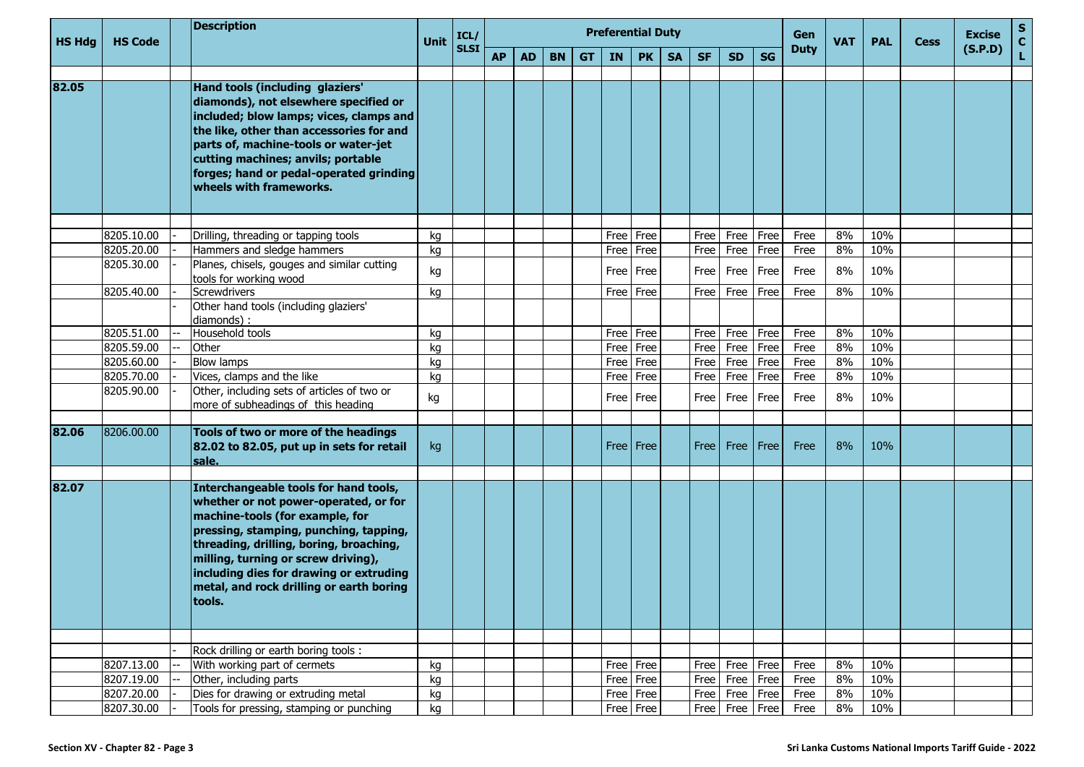| HS Hdg | <b>HS Code</b> | <b>Description</b>                                                                                                                                                                                                                                                                                                                             | <b>Unit</b> | ICL/        |           |           |           |           | <b>Preferential Duty</b> |             |           | Gen       | <b>VAT</b>         | <b>PAL</b> | <b>Cess</b> | <b>Excise</b> | ${\sf s}$<br>$\mathbf{C}$ |  |         |    |
|--------|----------------|------------------------------------------------------------------------------------------------------------------------------------------------------------------------------------------------------------------------------------------------------------------------------------------------------------------------------------------------|-------------|-------------|-----------|-----------|-----------|-----------|--------------------------|-------------|-----------|-----------|--------------------|------------|-------------|---------------|---------------------------|--|---------|----|
|        |                |                                                                                                                                                                                                                                                                                                                                                |             | <b>SLSI</b> | <b>AP</b> | <b>AD</b> | <b>BN</b> | <b>GT</b> | IN                       | <b>PK</b>   | <b>SA</b> | <b>SF</b> | <b>SD</b>          | <b>SG</b>  | <b>Duty</b> |               |                           |  | (S.P.D) | Ĺ. |
| 82.05  |                | Hand tools (including glaziers'<br>diamonds), not elsewhere specified or<br>included; blow lamps; vices, clamps and<br>the like, other than accessories for and<br>parts of, machine-tools or water-jet<br>cutting machines; anvils; portable<br>forges; hand or pedal-operated grinding<br>wheels with frameworks.                            |             |             |           |           |           |           |                          |             |           |           |                    |            |             |               |                           |  |         |    |
|        |                |                                                                                                                                                                                                                                                                                                                                                |             |             |           |           |           |           |                          |             |           |           |                    |            |             |               |                           |  |         |    |
|        | 8205.10.00     | Drilling, threading or tapping tools                                                                                                                                                                                                                                                                                                           | kq          |             |           |           |           |           | Free                     | Free        |           | Free      | Free               | Free       | Free        | 8%            | 10%                       |  |         |    |
|        | 8205.20.00     | Hammers and sledge hammers                                                                                                                                                                                                                                                                                                                     | kg          |             |           |           |           |           | Free                     | Free        |           | Free      | Free               | Free       | Free        | 8%            | 10%                       |  |         |    |
|        | 8205.30.00     | Planes, chisels, gouges and similar cutting<br>tools for working wood                                                                                                                                                                                                                                                                          | kg          |             |           |           |           |           | Free                     | Free        |           | Free      | Free               | Free       | Free        | 8%            | 10%                       |  |         |    |
|        | 8205.40.00     | Screwdrivers                                                                                                                                                                                                                                                                                                                                   | kg          |             |           |           |           |           | Free                     | Free        |           | Free      | Free               | Free       | Free        | 8%            | 10%                       |  |         |    |
|        |                | Other hand tools (including glaziers'<br>diamonds):                                                                                                                                                                                                                                                                                            |             |             |           |           |           |           |                          |             |           |           |                    |            |             |               |                           |  |         |    |
|        | 8205.51.00     | Household tools                                                                                                                                                                                                                                                                                                                                | kg          |             |           |           |           |           | Free                     | Free        |           | Free      | Free               | Free       | Free        | 8%            | 10%                       |  |         |    |
|        | 8205.59.00     | Other                                                                                                                                                                                                                                                                                                                                          | kg          |             |           |           |           |           | Free                     | Free        |           | Free      | Free               | Free       | Free        | 8%            | 10%                       |  |         |    |
|        | 8205.60.00     | <b>Blow lamps</b>                                                                                                                                                                                                                                                                                                                              | kg          |             |           |           |           |           | Free                     | Free        |           | Free      | Free               | Free       | Free        | 8%            | 10%                       |  |         |    |
|        | 8205.70.00     | Vices, clamps and the like                                                                                                                                                                                                                                                                                                                     | kg          |             |           |           |           |           | Free                     | Free        |           | Free      | Free               | Free       | Free        | 8%            | 10%                       |  |         |    |
|        | 8205.90.00     | Other, including sets of articles of two or<br>more of subheadings of this heading                                                                                                                                                                                                                                                             | kg          |             |           |           |           |           | Free                     | Free        |           | Free      | Free               | Free       | Free        | 8%            | 10%                       |  |         |    |
| 82.06  | 8206.00.00     | Tools of two or more of the headings<br>82.02 to 82.05, put up in sets for retail<br>sale.                                                                                                                                                                                                                                                     | kg          |             |           |           |           |           |                          | Free   Free |           | Free      | Free   Free        |            | Free        | 8%            | 10%                       |  |         |    |
|        |                |                                                                                                                                                                                                                                                                                                                                                |             |             |           |           |           |           |                          |             |           |           |                    |            |             |               |                           |  |         |    |
| 82.07  |                | Interchangeable tools for hand tools,<br>whether or not power-operated, or for<br>machine-tools (for example, for<br>pressing, stamping, punching, tapping,<br>threading, drilling, boring, broaching,<br>milling, turning or screw driving),<br>including dies for drawing or extruding<br>metal, and rock drilling or earth boring<br>tools. |             |             |           |           |           |           |                          |             |           |           |                    |            |             |               |                           |  |         |    |
|        |                | Rock drilling or earth boring tools :                                                                                                                                                                                                                                                                                                          |             |             |           |           |           |           |                          |             |           |           |                    |            |             |               |                           |  |         |    |
|        | 8207.13.00     | With working part of cermets                                                                                                                                                                                                                                                                                                                   | kg          |             |           |           |           |           |                          | Free Free   |           |           | Free Free Free     |            | Free        | 8%            | 10%                       |  |         |    |
|        | 8207.19.00     | Other, including parts                                                                                                                                                                                                                                                                                                                         | kg          |             |           |           |           |           | Free                     | Free        |           |           | Free Free Free     |            | Free        | 8%            | 10%                       |  |         |    |
|        | 8207.20.00     | Dies for drawing or extruding metal                                                                                                                                                                                                                                                                                                            | kg          |             |           |           |           |           |                          | Free   Free |           |           | Free   Free   Free |            | Free        | 8%            | 10%                       |  |         |    |
|        | 8207.30.00     | Tools for pressing, stamping or punching                                                                                                                                                                                                                                                                                                       | kg          |             |           |           |           |           |                          | Free   Free |           |           | Free Free Free     |            | Free        | 8%            | 10%                       |  |         |    |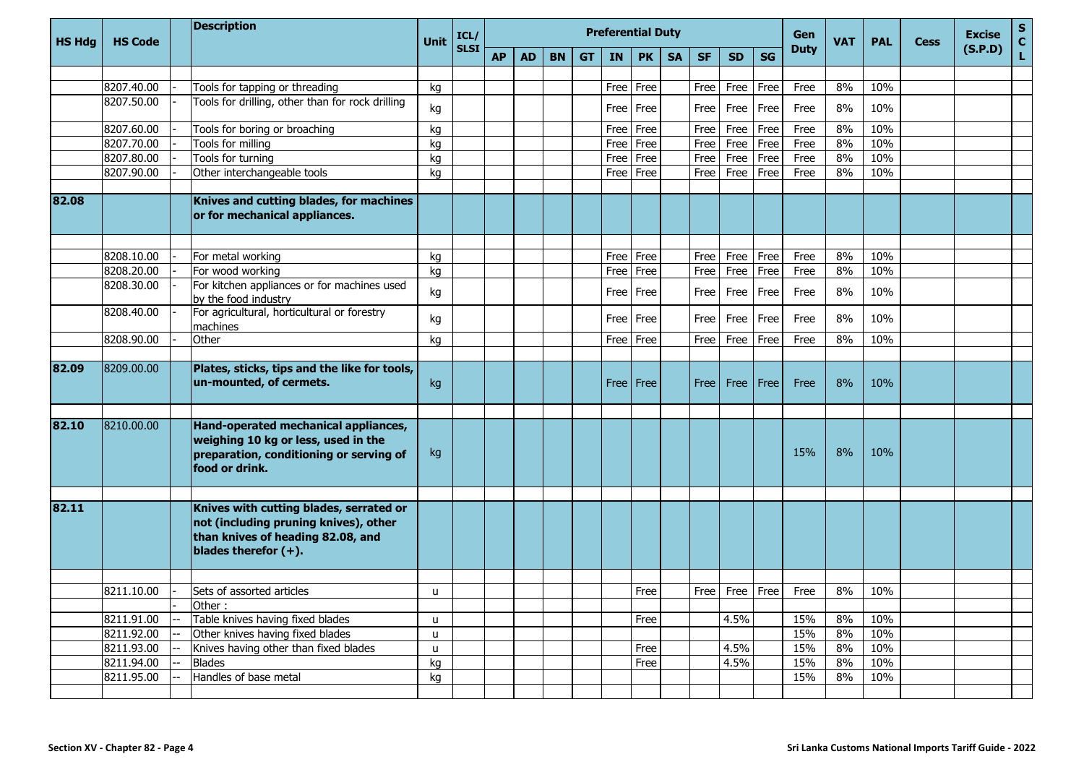| <b>HS Hdg</b> | <b>HS Code</b> | <b>Description</b>                                                                                                                               | Unit         | <b>Preferential Duty</b><br>ICL/ |           |           |           |           |             |           |           |           |             |           | Gen         | <b>VAT</b> | <b>PAL</b> | <b>Cess</b> | <b>Excise</b> | $\mathbf{s}$<br>$\mathbf{C}$ |
|---------------|----------------|--------------------------------------------------------------------------------------------------------------------------------------------------|--------------|----------------------------------|-----------|-----------|-----------|-----------|-------------|-----------|-----------|-----------|-------------|-----------|-------------|------------|------------|-------------|---------------|------------------------------|
|               |                |                                                                                                                                                  |              | <b>SLSI</b>                      | <b>AP</b> | <b>AD</b> | <b>BN</b> | <b>GT</b> | <b>IN</b>   | <b>PK</b> | <b>SA</b> | <b>SF</b> | <b>SD</b>   | <b>SG</b> | <b>Duty</b> |            |            |             | (S.P.D)       | Ĺ.                           |
|               |                |                                                                                                                                                  |              |                                  |           |           |           |           |             |           |           |           |             |           |             |            |            |             |               |                              |
|               | 8207.40.00     | Tools for tapping or threading                                                                                                                   | kg           |                                  |           |           |           |           | Free        | Free      |           | Free      | Free        | Free      | Free        | 8%         | 10%        |             |               |                              |
|               | 8207.50.00     | Tools for drilling, other than for rock drilling                                                                                                 | kg           |                                  |           |           |           |           | Free        | Free      |           | Free      | Free        | Free      | Free        | 8%         | 10%        |             |               |                              |
|               | 8207.60.00     | Tools for boring or broaching                                                                                                                    | kg           |                                  |           |           |           |           | Free        | Free      |           | Free      | Free        | Free      | Free        | 8%         | 10%        |             |               |                              |
|               | 8207.70.00     | Tools for milling                                                                                                                                | kg           |                                  |           |           |           |           | Free        | Free      |           | Free      | Free        | Free      | Free        | 8%         | 10%        |             |               |                              |
|               | 8207.80.00     | Tools for turning                                                                                                                                | kg           |                                  |           |           |           |           | Free        | Free      |           | Free      | Free        | Free      | Free        | 8%         | 10%        |             |               |                              |
|               | 8207.90.00     | Other interchangeable tools                                                                                                                      | kg           |                                  |           |           |           |           | Free        | Free      |           | Free      | Free        | Free      | Free        | 8%         | 10%        |             |               |                              |
| 82.08         |                | Knives and cutting blades, for machines<br>or for mechanical appliances.                                                                         |              |                                  |           |           |           |           |             |           |           |           |             |           |             |            |            |             |               |                              |
|               | 8208.10.00     | For metal working                                                                                                                                | kg           |                                  |           |           |           |           | Free        | Free      |           | Free      | Free        | Free      | Free        | 8%         | 10%        |             |               |                              |
|               | 8208.20.00     | For wood working                                                                                                                                 | kg           |                                  |           |           |           |           | Free        | Free      |           | Free      | Free        | Free      | Free        | 8%         | 10%        |             |               |                              |
|               | 8208.30.00     | For kitchen appliances or for machines used<br>by the food industry                                                                              | kg           |                                  |           |           |           |           | Free        | Free      |           | Free      | Free        | Free      | Free        | 8%         | 10%        |             |               |                              |
|               | 8208.40.00     | For agricultural, horticultural or forestry<br>machines                                                                                          | kg           |                                  |           |           |           |           | Free        | Free      |           | Free      | Free        | Free      | Free        | 8%         | 10%        |             |               |                              |
|               | 8208.90.00     | Other                                                                                                                                            | kg           |                                  |           |           |           |           | Free        | Free      |           | Free      | Free        | Free      | Free        | 8%         | 10%        |             |               |                              |
|               |                |                                                                                                                                                  |              |                                  |           |           |           |           |             |           |           |           |             |           |             |            |            |             |               |                              |
| 82.09         | 8209.00.00     | Plates, sticks, tips and the like for tools,<br>un-mounted, of cermets.                                                                          | kg           |                                  |           |           |           |           | <b>Free</b> | Free      |           | Free      | Free   Free |           | Free        | 8%         | 10%        |             |               |                              |
| 82.10         | 8210.00.00     | Hand-operated mechanical appliances,<br>weighing 10 kg or less, used in the<br>preparation, conditioning or serving of<br>food or drink.         | kg           |                                  |           |           |           |           |             |           |           |           |             |           | 15%         | 8%         | 10%        |             |               |                              |
| 82.11         |                | Knives with cutting blades, serrated or<br>not (including pruning knives), other<br>than knives of heading 82.08, and<br>blades therefor $(+)$ . |              |                                  |           |           |           |           |             |           |           |           |             |           |             |            |            |             |               |                              |
|               |                |                                                                                                                                                  |              |                                  |           |           |           |           |             |           |           |           |             |           |             |            |            |             |               |                              |
|               | 8211.10.00     | Sets of assorted articles                                                                                                                        | u            |                                  |           |           |           |           |             | Free      |           | Free      | Free Free   |           | Free        | 8%         | 10%        |             |               |                              |
|               |                | Other:                                                                                                                                           |              |                                  |           |           |           |           |             |           |           |           |             |           |             |            |            |             |               |                              |
|               | 8211.91.00     | Table knives having fixed blades                                                                                                                 | $\mathsf{u}$ |                                  |           |           |           |           |             | Free      |           |           | 4.5%        |           | 15%         | 8%         | 10%        |             |               |                              |
|               | 8211.92.00     | Other knives having fixed blades                                                                                                                 | $\mathsf{u}$ |                                  |           |           |           |           |             |           |           |           |             |           | 15%         | 8%         | 10%        |             |               |                              |
|               | 8211.93.00     | Knives having other than fixed blades                                                                                                            | $\mathsf{u}$ |                                  |           |           |           |           |             | Free      |           |           | 4.5%        |           | 15%         | 8%         | 10%        |             |               |                              |
|               | 8211.94.00     | <b>Blades</b>                                                                                                                                    | kg           |                                  |           |           |           |           |             | Free      |           |           | 4.5%        |           | 15%         | 8%         | 10%        |             |               |                              |
|               | 8211.95.00     | Handles of base metal                                                                                                                            | kg           |                                  |           |           |           |           |             |           |           |           |             |           | 15%         | 8%         | 10%        |             |               |                              |
|               |                |                                                                                                                                                  |              |                                  |           |           |           |           |             |           |           |           |             |           |             |            |            |             |               |                              |